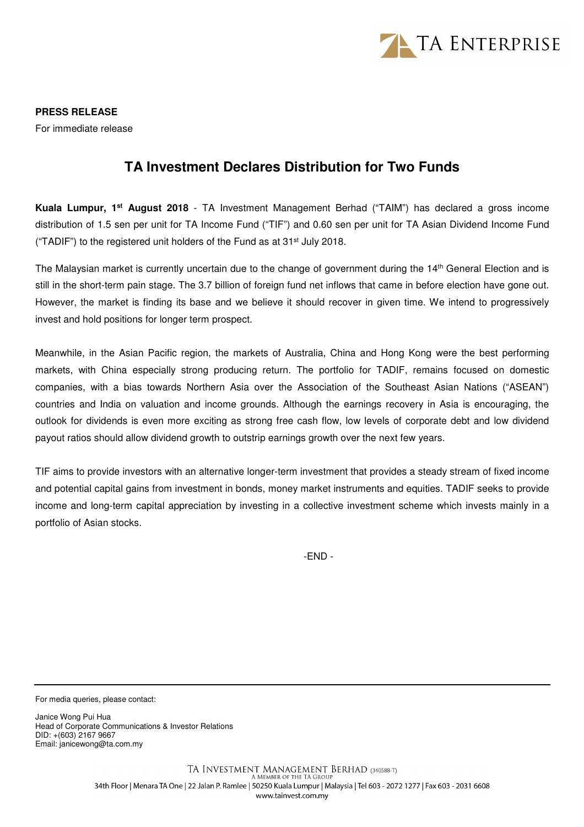

**PRESS RELEASE**  For immediate release

## **TA Investment Declares Distribution for Two Funds**

**Kuala Lumpur, 1st August 2018** - TA Investment Management Berhad ("TAIM") has declared a gross income distribution of 1.5 sen per unit for TA Income Fund ("TIF") and 0.60 sen per unit for TA Asian Dividend Income Fund ("TADIF") to the registered unit holders of the Fund as at 31st July 2018.

The Malaysian market is currently uncertain due to the change of government during the 14<sup>th</sup> General Election and is still in the short-term pain stage. The 3.7 billion of foreign fund net inflows that came in before election have gone out. However, the market is finding its base and we believe it should recover in given time. We intend to progressively invest and hold positions for longer term prospect.

Meanwhile, in the Asian Pacific region, the markets of Australia, China and Hong Kong were the best performing markets, with China especially strong producing return. The portfolio for TADIF, remains focused on domestic companies, with a bias towards Northern Asia over the Association of the Southeast Asian Nations ("ASEAN") countries and India on valuation and income grounds. Although the earnings recovery in Asia is encouraging, the outlook for dividends is even more exciting as strong free cash flow, low levels of corporate debt and low dividend payout ratios should allow dividend growth to outstrip earnings growth over the next few years.

TIF aims to provide investors with an alternative longer-term investment that provides a steady stream of fixed income and potential capital gains from investment in bonds, money market instruments and equities. TADIF seeks to provide income and long-term capital appreciation by investing in a collective investment scheme which invests mainly in a portfolio of Asian stocks.

-END -

For media queries, please contact:

Janice Wong Pui Hua Head of Corporate Communications & Investor Relations DID: +(603) 2167 9667 Email: janicewong@ta.com.my